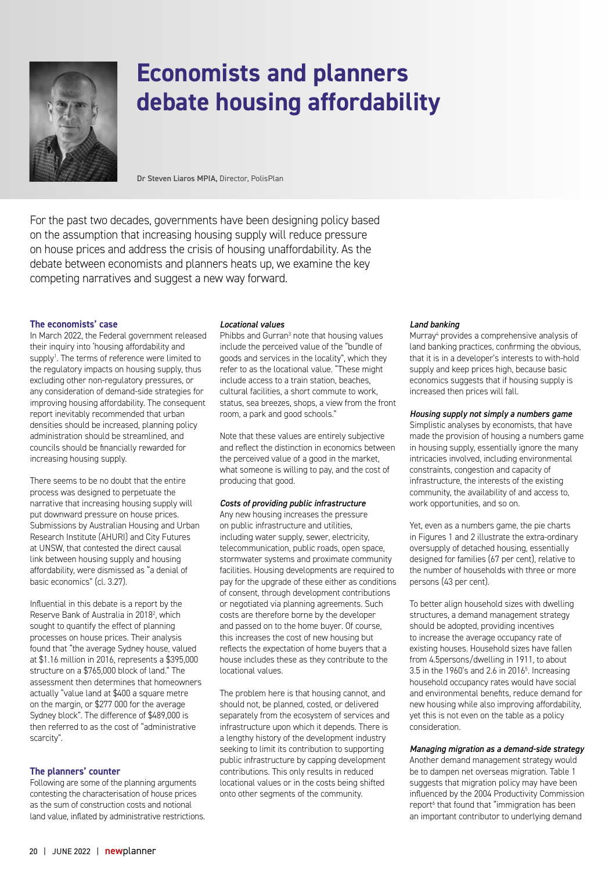

# **Economists and planners debate housing affordability**

Dr Steven Liaros MPIA, Director, PolisPlan

For the past two decades, governments have been designing policy based on the assumption that increasing housing supply will reduce pressure on house prices and address the crisis of housing unaffordability. As the debate between economists and planners heats up, we examine the key competing narratives and suggest a new way forward.

#### **The economists' case**

In March 2022, the Federal government released their inquiry into 'housing affordability and supply<sup>1</sup>. The terms of reference were limited to the regulatory impacts on housing supply, thus excluding other non-regulatory pressures, or any consideration of demand-side strategies for improving housing affordability. The consequent report inevitably recommended that urban densities should be increased, planning policy administration should be streamlined, and councils should be financially rewarded for increasing housing supply.

There seems to be no doubt that the entire process was designed to perpetuate the narrative that increasing housing supply will put downward pressure on house prices. Submissions by Australian Housing and Urban Research Institute (AHURI) and City Futures at UNSW, that contested the direct causal link between housing supply and housing affordability, were dismissed as "a denial of basic economics" (cl. 3.27).

Influential in this debate is a report by the Reserve Bank of Australia in 2018<sup>2</sup>, which sought to quantify the effect of planning processes on house prices. Their analysis found that "the average Sydney house, valued at \$1.16 million in 2016, represents a \$395,000 structure on a \$765,000 block of land." The assessment then determines that homeowners actually "value land at \$400 a square metre on the margin, or \$277 000 for the average Sydney block". The difference of \$489,000 is then referred to as the cost of "administrative scarcity".

## **The planners' counter**

Following are some of the planning arguments contesting the characterisation of house prices as the sum of construction costs and notional land value, inflated by administrative restrictions.

#### *Locational values*

Phibbs and Gurran<sup>3</sup> note that housing values include the perceived value of the "bundle of goods and services in the locality", which they refer to as the locational value. "These might include access to a train station, beaches, cultural facilities, a short commute to work, status, sea breezes, shops, a view from the front room, a park and good schools."

Note that these values are entirely subjective and reflect the distinction in economics between the perceived value of a good in the market, what someone is willing to pay, and the cost of producing that good.

#### *Costs of providing public infrastructure*

Any new housing increases the pressure on public infrastructure and utilities, including water supply, sewer, electricity, telecommunication, public roads, open space, stormwater systems and proximate community facilities. Housing developments are required to pay for the upgrade of these either as conditions of consent, through development contributions or negotiated via planning agreements. Such costs are therefore borne by the developer and passed on to the home buyer. Of course, this increases the cost of new housing but reflects the expectation of home buyers that a house includes these as they contribute to the locational values.

The problem here is that housing cannot, and should not, be planned, costed, or delivered separately from the ecosystem of services and infrastructure upon which it depends. There is a lengthy history of the development industry seeking to limit its contribution to supporting public infrastructure by capping development contributions. This only results in reduced locational values or in the costs being shifted onto other segments of the community.

#### *Land banking*

Murray<sup>4</sup> provides a comprehensive analysis of land banking practices, confirming the obvious, that it is in a developer's interests to with-hold supply and keep prices high, because basic economics suggests that if housing supply is increased then prices will fall.

#### *Housing supply not simply a numbers game*

Simplistic analyses by economists, that have made the provision of housing a numbers game in housing supply, essentially ignore the many intricacies involved, including environmental constraints, congestion and capacity of infrastructure, the interests of the existing community, the availability of and access to, work opportunities, and so on.

Yet, even as a numbers game, the pie charts in Figures 1 and 2 illustrate the extra-ordinary oversupply of detached housing, essentially designed for families (67 per cent), relative to the number of households with three or more persons (43 per cent).

To better align household sizes with dwelling structures, a demand management strategy should be adopted, providing incentives to increase the average occupancy rate of existing houses. Household sizes have fallen from 4.5persons/dwelling in 1911, to about 3.5 in the 1960's and 2.6 in 20165 . Increasing household occupancy rates would have social and environmental benefits, reduce demand for new housing while also improving affordability, yet this is not even on the table as a policy consideration.

## *Managing migration as a demand-side strategy*

Another demand management strategy would be to dampen net overseas migration. Table 1 suggests that migration policy may have been influenced by the 2004 Productivity Commission report<sup>6</sup> that found that "immigration has been an important contributor to underlying demand